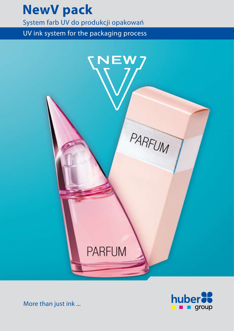# **NewV pack**

System farb UV do produkcji opakowań

UV ink system for the packaging process





More than just ink ...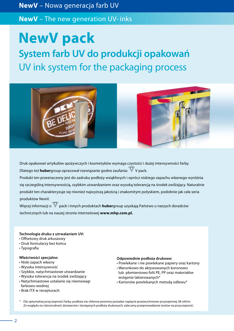**NewV** – Nowa generacja farb UV

**NewV** – The new generation UV- inks

**NewV pack**

**System farb UV do produkcji opakowań** UV ink system for the packaging process



Druk opakowań artykułów spożywczych i kosmetyków wymaga czystości i dużej intensywności farby. Dlatego też **huber**group opracował rozwiązanie godne zaufania: W V pack.

Produkt ten przeznaczony jest do zadruku podłoży wsiąkliwych i oprócz niskiego zapachu własnego wyróżnia się szczególną intensywnością, szybkim utwardzaniem oraz wysoką tolerancją na środek zwilżający. Naturalnie produkt ten charakteryzuje się również najwyższą jakością i znakomitym połyskiem, podobnie jak cała seria produktów NewV.

Więcej informacji o pack i innych produktach **huber**group uzyskają Państwo u naszych doradców technicznych lub na naszej stronie internetowej **www.mhp.com.pl.**

## **Technologie druku z utrwalaniem UV:**

- Offsetowy druk arkuszowy
- Druk formularzy bez końca
- Typografia

#### **Właściwości specjalne:**

- Niski zapach własny
- Wysoka intensywność
- Szybkie, natychmiastowe utwardzanie
- Wysoka tolerancja na środek zwilżający
- Natychmiastowe ustalanie się równowagi farbowo-wodnej
- Brak ITX w recepturach

#### **Odpowiednie podłoża drukowe:**

- Powlekane i nie powlekane papiery oraz kartony
- Warunkowo do aktywowanych koronowo lub płomieniowo folii PE, PP oraz materiałów wstępnie lakierowanych\*
- Kartonów powlekanych metodą odlewu\*
- \* Dla optymalnej przyczepności farby, podłoża nie chłonne powinny posiadać napięcie powierzchniowe przynajmniej 38 mN/m. Ze względu na różnorodność dostawców i dostępnych podłoży drukowych, zalecamy przeprowadzenie testów na przyczepność.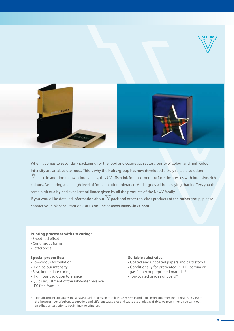

When it comes to secondary packaging for the food and cosmetics sectors, purity of colour and high colour intensity are an absolute must. This is why the **huber**group has now developed a truly reliable solution:  $\mathbb{W}$ pack. In addition to low odour values, this UV offset ink for absorbent surfaces impresses with intensive, rich colours, fast curing and a high level of fount solution tolerance. And it goes without saying that it offers you the same high quality and excellent brilliance given by all the products of the NewV family. If you would like detailed information about  $\mathbb{W}$  pack and other top-class products of the **huber**group, please contact your ink consultant or visit us on-line at **www.NewV-inks.com**.

#### **Printing processes with UV curing:**

- Sheet-fed offset
- Continuous forms
- Letterpress

## **Special properties:**

- Low-odour formulation
- High colour intensity
- Fast, immediate curing
- High fount solution tolerance
- Quick adjustment of the ink/water balance
- ITX-free formula

# **Suitable substrates:**

- Coated and uncoated papers and card stocks
- Conditionally for pretreated PE, PP (corona or gas flame) or preprimed material\*
- Top-coated grades of board\*
- Non-absorbent substrates must have a surface tension of at least 38 mN/m in order to ensure optimum ink adhesion. In view of the large number of substrate suppliers and different substrates and substrate grades available, we recommend you carry out an adhesion test prior to beginning the print run.